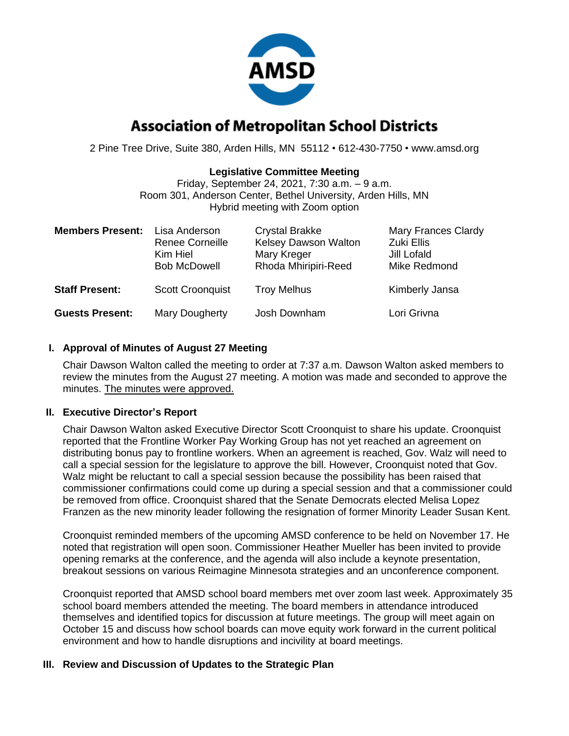

# **Association of Metropolitan School Districts**

2 Pine Tree Drive, Suite 380, Arden Hills, MN 55112 • 612-430-7750 • www.amsd.org

### **Legislative Committee Meeting**

Friday, September 24, 2021, 7:30 a.m. – 9 a.m. Room 301, Anderson Center, Bethel University, Arden Hills, MN Hybrid meeting with Zoom option

| <b>Members Present:</b> | Lisa Anderson<br><b>Renee Corneille</b><br>Kim Hiel<br><b>Bob McDowell</b> | <b>Crystal Brakke</b><br>Kelsey Dawson Walton<br>Mary Kreger<br>Rhoda Mhiripiri-Reed | <b>Mary Frances Clardy</b><br>Zuki Ellis<br>Jill Lofald<br>Mike Redmond |
|-------------------------|----------------------------------------------------------------------------|--------------------------------------------------------------------------------------|-------------------------------------------------------------------------|
| <b>Staff Present:</b>   | <b>Scott Croonquist</b>                                                    | <b>Troy Melhus</b>                                                                   | Kimberly Jansa                                                          |
| <b>Guests Present:</b>  | Mary Dougherty                                                             | Josh Downham                                                                         | Lori Grivna                                                             |

# **I. Approval of Minutes of August 27 Meeting**

Chair Dawson Walton called the meeting to order at 7:37 a.m. Dawson Walton asked members to review the minutes from the August 27 meeting. A motion was made and seconded to approve the minutes. The minutes were approved.

### **II. Executive Director's Report**

Chair Dawson Walton asked Executive Director Scott Croonquist to share his update. Croonquist reported that the Frontline Worker Pay Working Group has not yet reached an agreement on distributing bonus pay to frontline workers. When an agreement is reached, Gov. Walz will need to call a special session for the legislature to approve the bill. However, Croonquist noted that Gov. Walz might be reluctant to call a special session because the possibility has been raised that commissioner confirmations could come up during a special session and that a commissioner could be removed from office. Croonquist shared that the Senate Democrats elected Melisa Lopez Franzen as the new minority leader following the resignation of former Minority Leader Susan Kent.

Croonquist reminded members of the upcoming AMSD conference to be held on November 17. He noted that registration will open soon. Commissioner Heather Mueller has been invited to provide opening remarks at the conference, and the agenda will also include a keynote presentation, breakout sessions on various Reimagine Minnesota strategies and an unconference component.

Croonquist reported that AMSD school board members met over zoom last week. Approximately 35 school board members attended the meeting. The board members in attendance introduced themselves and identified topics for discussion at future meetings. The group will meet again on October 15 and discuss how school boards can move equity work forward in the current political environment and how to handle disruptions and incivility at board meetings.

### **III. Review and Discussion of Updates to the Strategic Plan**